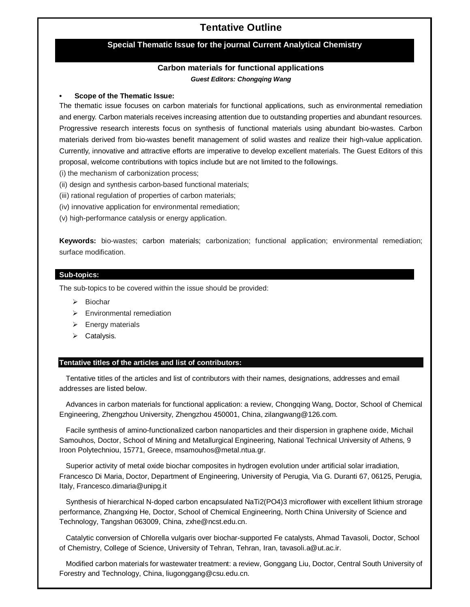# **Tentative Outline**

## **Special Thematic Issue for the journal Current Analytical Chemistry**

## **Carbon materials for functional applications** *Guest Editors: Chongqing Wang*

#### **• Scope of the Thematic Issue:**

The thematic issue focuses on carbon materials for functional applications, such as environmental remediation and energy. Carbon materials receives increasing attention due to outstanding properties and abundant resources. Progressive research interests focus on synthesis of functional materials using abundant bio-wastes. Carbon materials derived from bio-wastes benefit management of solid wastes and realize their high-value application. Currently, innovative and attractive efforts are imperative to develop excellent materials. The Guest Editors of this proposal, welcome contributions with topics include but are not limited to the followings.

(i) the mechanism of carbonization process;

- (ii) design and synthesis carbon-based functional materials;
- (iii) rational regulation of properties of carbon materials;
- (iv) innovative application for environmental remediation;

(v) high-performance catalysis or energy application.

**Keywords:** bio-wastes; carbon materials; carbonization; functional application; environmental remediation; surface modification.

#### **Sub-topics:**

The sub-topics to be covered within the issue should be provided:

- $\triangleright$  Biochar
- $\triangleright$  Environmental remediation
- $\triangleright$  Energy materials
- $\triangleright$  Catalysis.

### **Tentative titles of the articles and list of contributors:**

Tentative titles of the articles and list of contributors with their names, designations, addresses and email addresses are listed below.

Advances in carbon materials for functional application: a review, Chongqing Wang, Doctor, School of Chemical Engineering, Zhengzhou University, Zhengzhou 450001, China, zilangwang@126.com.

Facile synthesis of amino-functionalized carbon nanoparticles and their dispersion in graphene oxide, Michail Samouhos, Doctor, School of Mining and Metallurgical Engineering, National Technical University of Athens, 9 Iroon Polytechniou, 15771, Greece, msamouhos@metal.ntua.gr.

Superior activity of metal oxide biochar composites in hydrogen evolution under artificial solar irradiation, Francesco Di Maria, Doctor, Department of Engineering, University of Perugia, Via G. Duranti 67, 06125, Perugia, Italy, Francesco.dimaria@unipg.it

Synthesis of hierarchical N-doped carbon encapsulated NaTi2(PO4)3 microflower with excellent lithium strorage performance, Zhangxing He, Doctor, School of Chemical Engineering, North China University of Science and Technology, Tangshan 063009, China, zxhe@ncst.edu.cn.

Catalytic conversion of Chlorella vulgaris over biochar-supported Fe catalysts, Ahmad Tavasoli, Doctor, School of Chemistry, College of Science, University of Tehran, Tehran, Iran, tavasoli.a@ut.ac.ir.

Modified carbon materials for wastewater treatment: a review, Gonggang Liu, Doctor, Central South University of Forestry and Technology, China, liugonggang@csu.edu.cn.